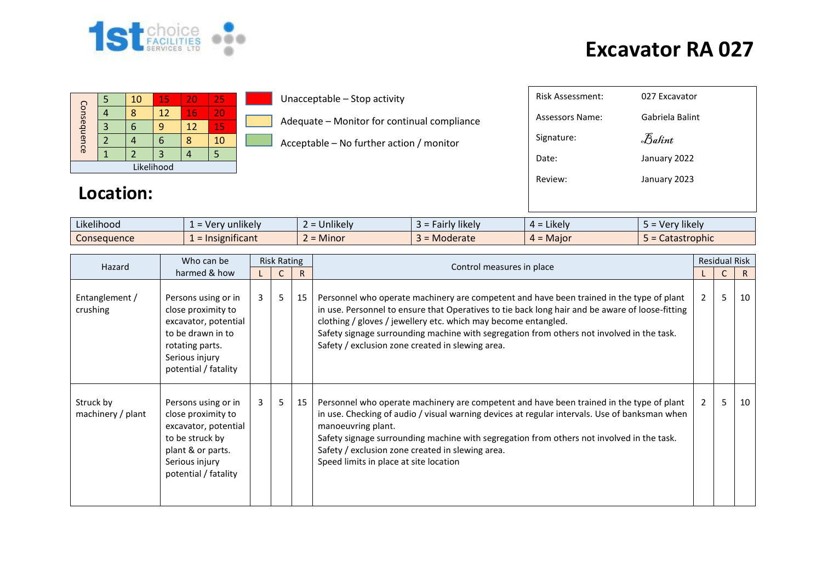

|             |  | 10 | 15 | 20 | 25  |  |  |  |  |  |
|-------------|--|----|----|----|-----|--|--|--|--|--|
| Consequence |  |    | 12 | 16 | VI. |  |  |  |  |  |
|             |  |    |    | 12 | 15  |  |  |  |  |  |
|             |  |    |    |    | 10  |  |  |  |  |  |
|             |  |    |    |    |     |  |  |  |  |  |
| Likelihood  |  |    |    |    |     |  |  |  |  |  |

**Location:**

Unacceptable – Stop activity

Adequate – Monitor for continual compliance

Acceptable – No further action / monitor

| Risk Assessment: | 027 Excavator   |
|------------------|-----------------|
| Assessors Name:  | Gabriela Balint |
| Signature:       | Balint          |
| Date:            | January 2022    |
| Review:          | January 2023    |
|                  |                 |
|                  |                 |

| Likelihood  | ` = Verv unlikely \ | = Unlikely | $\cdots$<br>. Fairly likely<br>$\overline{\phantom{0}}$ | <b>Likely</b><br>$\overline{\phantom{0}}$<br>- ⊥                    | Very likely<br>$-$ |
|-------------|---------------------|------------|---------------------------------------------------------|---------------------------------------------------------------------|--------------------|
| Consequence | ' = Insignificant   | $=$ Minor  | J = Moderate                                            | Major<br>$\overline{\phantom{0}}$<br>д.<br>$\overline{\phantom{0}}$ | rophic<br>Calast   |

| Hazard                         | Who can be<br>harmed & how                                                                                                                          | <b>Risk Rating</b> |   |              |                                                                                                                                                                                                                                                                                                                                                                                                                |                | <b>Residual Risk</b> |    |  |
|--------------------------------|-----------------------------------------------------------------------------------------------------------------------------------------------------|--------------------|---|--------------|----------------------------------------------------------------------------------------------------------------------------------------------------------------------------------------------------------------------------------------------------------------------------------------------------------------------------------------------------------------------------------------------------------------|----------------|----------------------|----|--|
|                                |                                                                                                                                                     |                    |   | $\mathsf{R}$ | Control measures in place                                                                                                                                                                                                                                                                                                                                                                                      |                | C.                   | R. |  |
| Entanglement /<br>crushing     | Persons using or in<br>close proximity to<br>excavator, potential<br>to be drawn in to<br>rotating parts.<br>Serious injury<br>potential / fatality | 3                  | 5 | 15           | Personnel who operate machinery are competent and have been trained in the type of plant<br>in use. Personnel to ensure that Operatives to tie back long hair and be aware of loose-fitting<br>clothing / gloves / jewellery etc. which may become entangled.<br>Safety signage surrounding machine with segregation from others not involved in the task.<br>Safety / exclusion zone created in slewing area. | $\overline{2}$ | 5                    | 10 |  |
| Struck by<br>machinery / plant | Persons using or in<br>close proximity to<br>excavator, potential<br>to be struck by<br>plant & or parts.<br>Serious injury<br>potential / fatality | 3                  | 5 | 15           | Personnel who operate machinery are competent and have been trained in the type of plant<br>in use. Checking of audio / visual warning devices at regular intervals. Use of banksman when<br>manoeuvring plant.<br>Safety signage surrounding machine with segregation from others not involved in the task.<br>Safety / exclusion zone created in slewing area.<br>Speed limits in place at site location     | 2              | 5                    | 10 |  |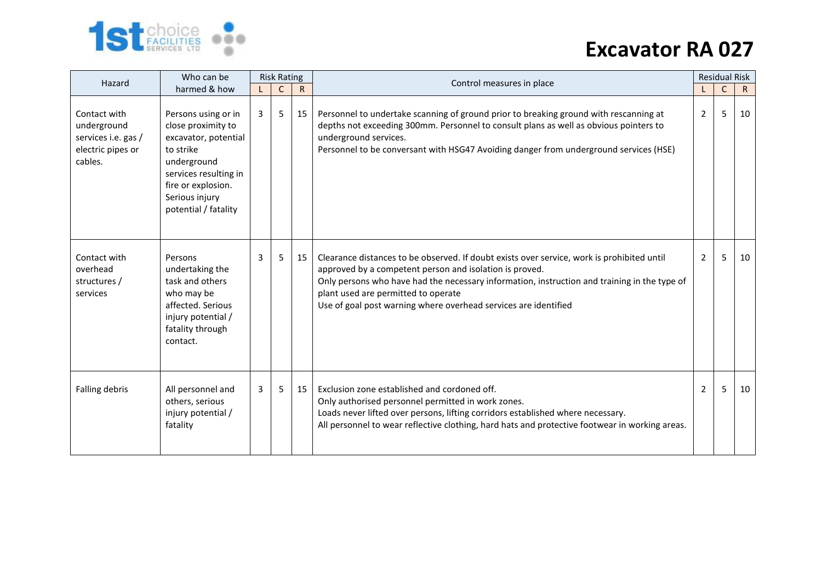

| Hazard                                                                             | Who can be                                                                                                                                                                             | <b>Risk Rating</b> |    |              | Control measures in place                                                                                                                                                                                                                                                                                                                                       | <b>Residual Risk</b> |             |              |
|------------------------------------------------------------------------------------|----------------------------------------------------------------------------------------------------------------------------------------------------------------------------------------|--------------------|----|--------------|-----------------------------------------------------------------------------------------------------------------------------------------------------------------------------------------------------------------------------------------------------------------------------------------------------------------------------------------------------------------|----------------------|-------------|--------------|
|                                                                                    | harmed & how                                                                                                                                                                           |                    | C  | $\mathsf{R}$ |                                                                                                                                                                                                                                                                                                                                                                 |                      | $\mathsf C$ | $\mathsf{R}$ |
| Contact with<br>underground<br>services i.e. gas /<br>electric pipes or<br>cables. | Persons using or in<br>close proximity to<br>excavator, potential<br>to strike<br>underground<br>services resulting in<br>fire or explosion.<br>Serious injury<br>potential / fatality | 3                  | 5  | 15           | Personnel to undertake scanning of ground prior to breaking ground with rescanning at<br>depths not exceeding 300mm. Personnel to consult plans as well as obvious pointers to<br>underground services.<br>Personnel to be conversant with HSG47 Avoiding danger from underground services (HSE)                                                                | $\overline{2}$       | 5           | 10           |
| Contact with<br>overhead<br>structures /<br>services                               | Persons<br>undertaking the<br>task and others<br>who may be<br>affected. Serious<br>injury potential /<br>fatality through<br>contact.                                                 | 3                  | 5. | 15           | Clearance distances to be observed. If doubt exists over service, work is prohibited until<br>approved by a competent person and isolation is proved.<br>Only persons who have had the necessary information, instruction and training in the type of<br>plant used are permitted to operate<br>Use of goal post warning where overhead services are identified | 2                    | 5           | 10           |
| Falling debris                                                                     | All personnel and<br>others, serious<br>injury potential /<br>fatality                                                                                                                 | 3                  | 5. | 15           | Exclusion zone established and cordoned off.<br>Only authorised personnel permitted in work zones.<br>Loads never lifted over persons, lifting corridors established where necessary.<br>All personnel to wear reflective clothing, hard hats and protective footwear in working areas.                                                                         | 2                    | 5           | 10           |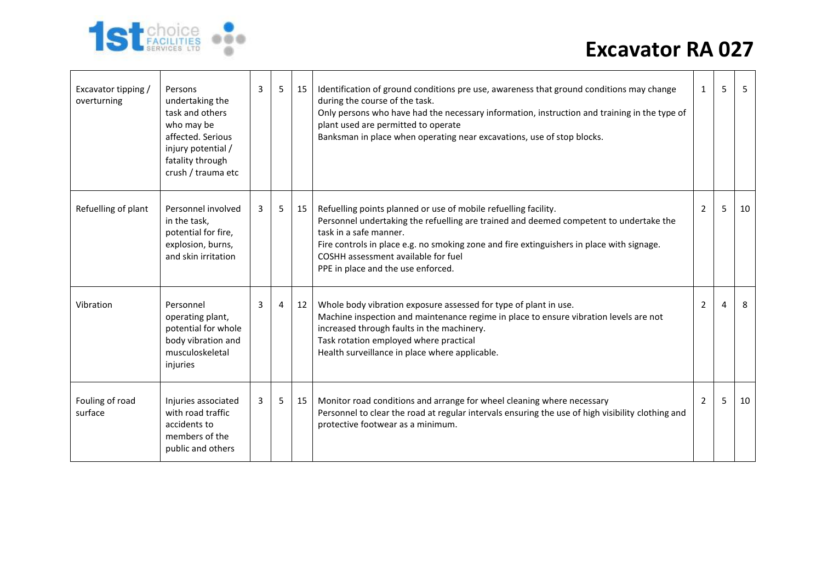

| Excavator tipping /<br>overturning | Persons<br>undertaking the<br>task and others<br>who may be<br>affected. Serious<br>injury potential /<br>fatality through<br>crush / trauma etc | 3 | 5 | 15 | Identification of ground conditions pre use, awareness that ground conditions may change<br>during the course of the task.<br>Only persons who have had the necessary information, instruction and training in the type of<br>plant used are permitted to operate<br>Banksman in place when operating near excavations, use of stop blocks.                   | 1              | 5 | -5 |
|------------------------------------|--------------------------------------------------------------------------------------------------------------------------------------------------|---|---|----|---------------------------------------------------------------------------------------------------------------------------------------------------------------------------------------------------------------------------------------------------------------------------------------------------------------------------------------------------------------|----------------|---|----|
| Refuelling of plant                | Personnel involved<br>in the task,<br>potential for fire,<br>explosion, burns,<br>and skin irritation                                            | 3 | 5 | 15 | Refuelling points planned or use of mobile refuelling facility.<br>Personnel undertaking the refuelling are trained and deemed competent to undertake the<br>task in a safe manner.<br>Fire controls in place e.g. no smoking zone and fire extinguishers in place with signage.<br>COSHH assessment available for fuel<br>PPE in place and the use enforced. | 2              | 5 | 10 |
| Vibration                          | Personnel<br>operating plant,<br>potential for whole<br>body vibration and<br>musculoskeletal<br>injuries                                        | 3 | 4 | 12 | Whole body vibration exposure assessed for type of plant in use.<br>Machine inspection and maintenance regime in place to ensure vibration levels are not<br>increased through faults in the machinery.<br>Task rotation employed where practical<br>Health surveillance in place where applicable.                                                           | 2              |   | 8  |
| Fouling of road<br>surface         | Injuries associated<br>with road traffic<br>accidents to<br>members of the<br>public and others                                                  | 3 | 5 | 15 | Monitor road conditions and arrange for wheel cleaning where necessary<br>Personnel to clear the road at regular intervals ensuring the use of high visibility clothing and<br>protective footwear as a minimum.                                                                                                                                              | $\overline{2}$ | 5 | 10 |